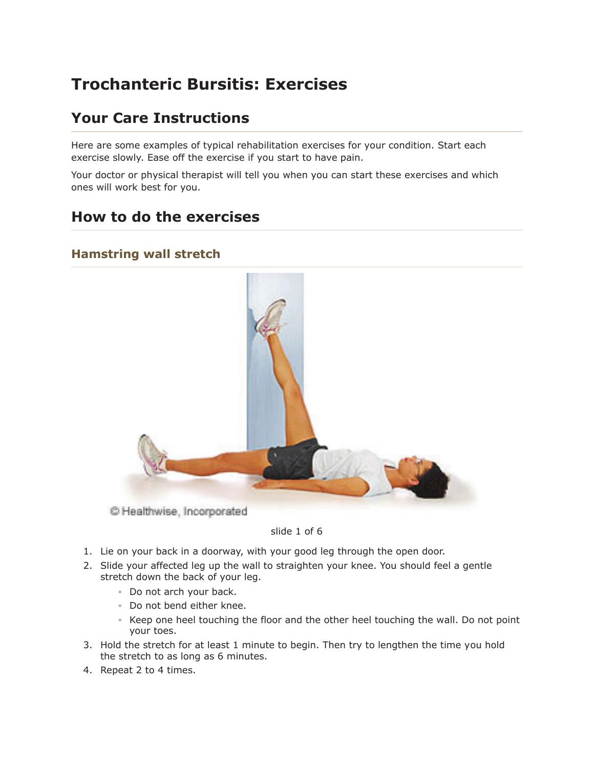# **Trochanteric Bursitis: Exercises**

## **Your Care Instructions**

Here are some examples of typical rehabilitation exercises for your condition. Start each exercise slowly. Ease off the exercise if you start to have pain.

Your doctor or physical therapist will tell you when you can start these exercises and which ones will work best for you.

## How to do the exercises

### **Hamstring wall stretch**



#### slide 1 of 6

- 1. Lie on your back in a doorway, with your good leg through the open door.
- 2. Slide your affected leg up the wall to straighten your knee. You should feel a gentle stretch down the back of your leg.
	- Do not arch your back.
	- · Do not bend either knee.
	- Keep one heel touching the floor and the other heel touching the wall. Do not point your toes.
- 3. Hold the stretch for at least 1 minute to begin. Then try to lengthen the time you hold the stretch to as long as 6 minutes.
- 4. Repeat 2 to 4 times.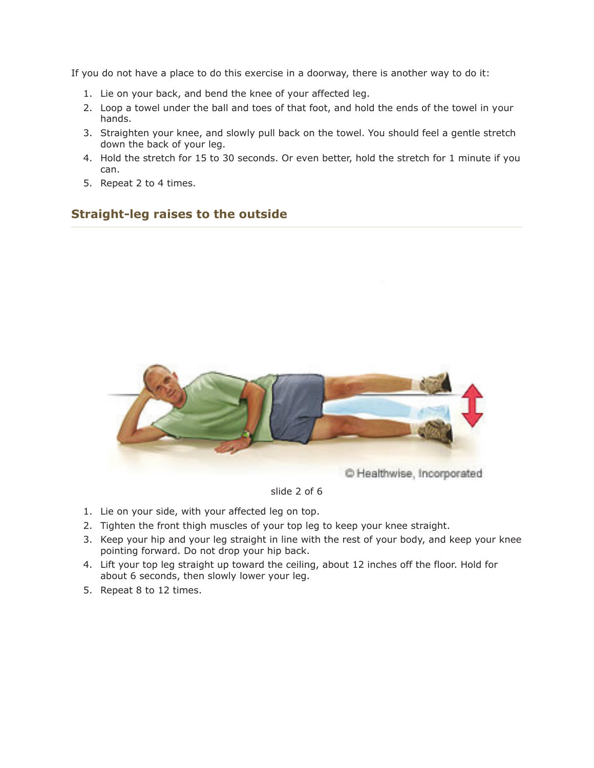If you do not have a place to do this exercise in a doorway, there is another way to do it:

- 1. Lie on your back, and bend the knee of your affected leg.
- 2. Loop a towel under the ball and toes of that foot, and hold the ends of the towel in your hands.
- 3. Straighten your knee, and slowly pull back on the towel. You should feel a gentle stretch down the back of your leg.
- 4. Hold the stretch for 15 to 30 seconds. Or even better, hold the stretch for 1 minute if you can.
- 5. Repeat 2 to 4 times.

### **Straight-leg raises to the outside**



#### slide 2 of 6

- 1. Lie on your side, with your affected leg on top.
- 2. Tighten the front thigh muscles of your top leg to keep your knee straight.
- 3. Keep your hip and your leg straight in line with the rest of your body, and keep your knee pointing forward. Do not drop your hip back.
- 4. Lift your top leg straight up toward the ceiling, about 12 inches off the floor. Hold for about 6 seconds, then slowly lower your leg.
- 5. Repeat 8 to 12 times.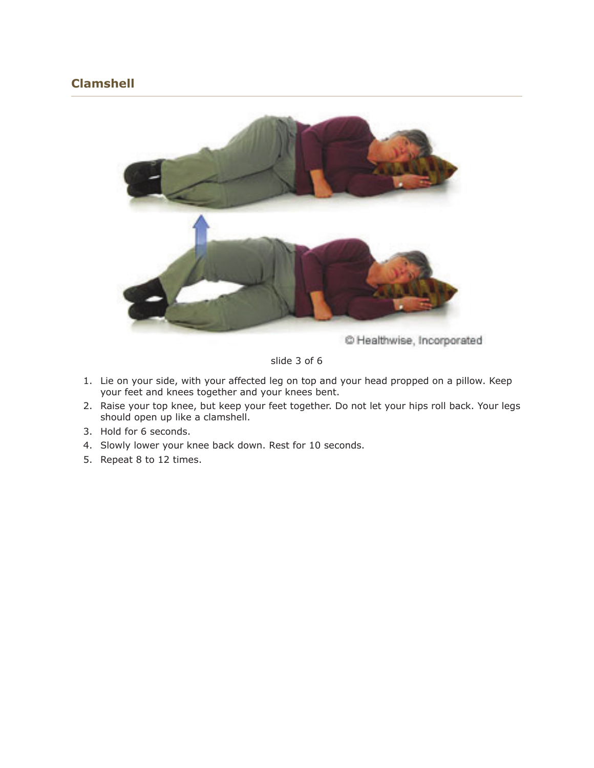## **Clamshell**



C Healthwise, Incorporated

slide 3 of 6

- 1. Lie on your side, with your affected leg on top and your head propped on a pillow. Keep your feet and knees together and your knees bent.
- 2. Raise your top knee, but keep your feet together. Do not let your hips roll back. Your legs should open up like a clamshell.
- 3. Hold for 6 seconds.
- 4. Slowly lower your knee back down. Rest for 10 seconds.
- 5. Repeat 8 to 12 times.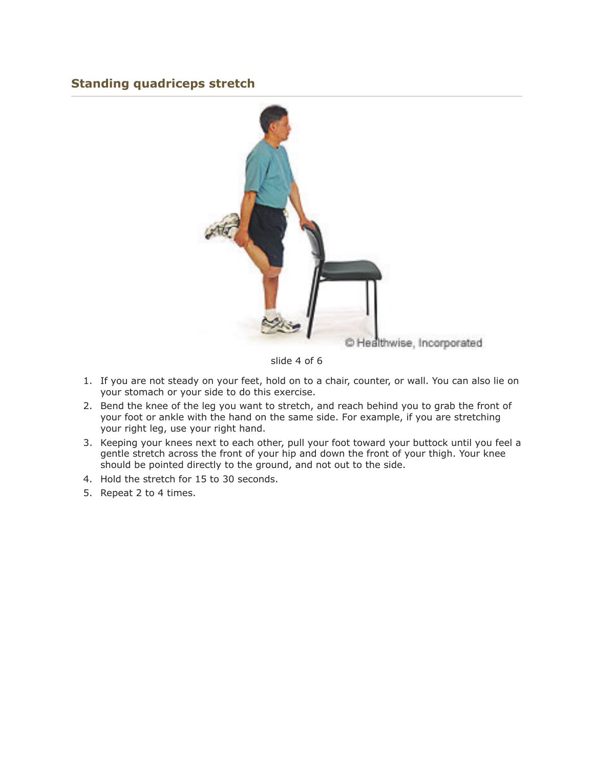## **Standing quadriceps stretch**



slide 4 of 6

- 1. If you are not steady on your feet, hold on to a chair, counter, or wall. You can also lie on your stomach or your side to do this exercise.
- 2. Bend the knee of the leg you want to stretch, and reach behind you to grab the front of your foot or ankle with the hand on the same side. For example, if you are stretching your right leg, use your right hand.
- 3. Keeping your knees next to each other, pull your foot toward your buttock until you feel a gentle stretch across the front of your hip and down the front of your thigh. Your knee should be pointed directly to the ground, and not out to the side.
- 4. Hold the stretch for 15 to 30 seconds.
- 5. Repeat 2 to 4 times.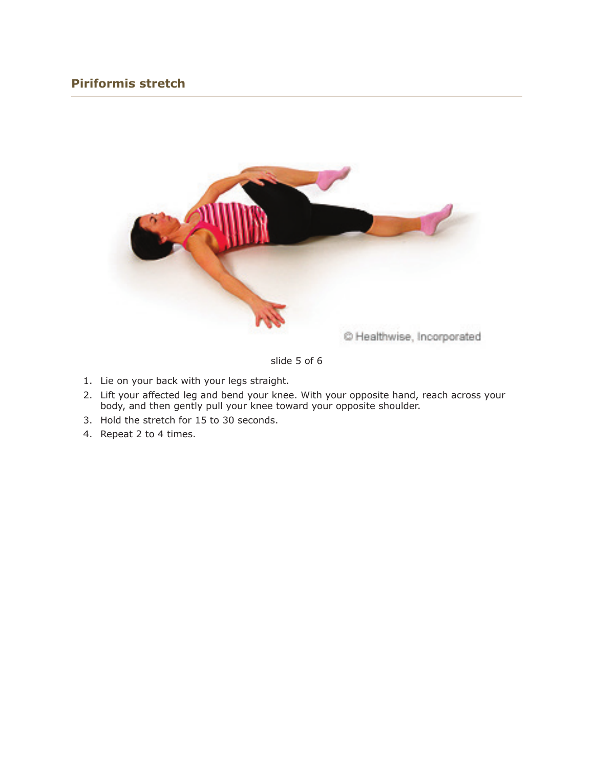## **Piriformis stretch**



slide 5 of 6

- 1. Lie on your back with your legs straight.
- 2. Lift your affected leg and bend your knee. With your opposite hand, reach across your body, and then gently pull your knee toward your opposite shoulder.
- 3. Hold the stretch for 15 to 30 seconds.
- 4. Repeat 2 to 4 times.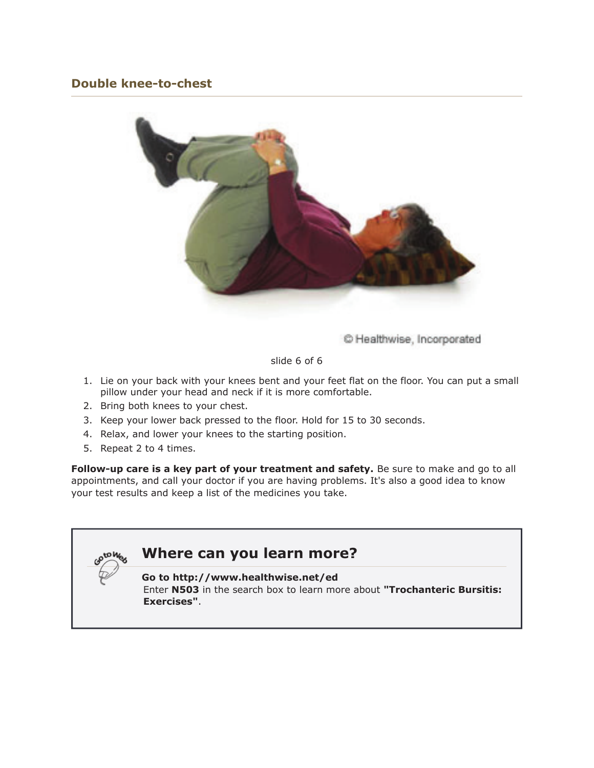## **Double knee-to-chest**



C Healthwise, Incorporated

slide 6 of 6

- 1. Lie on your back with your knees bent and your feet flat on the floor. You can put a small pillow under your head and neck if it is more comfortable.
- 2. Bring both knees to your chest.
- 3. Keep your lower back pressed to the floor. Hold for 15 to 30 seconds.
- 4. Relax, and lower your knees to the starting position.
- 5. Repeat 2 to 4 times.

Follow-up care is a key part of your treatment and safety. Be sure to make and go to all appointments, and call your doctor if you are having problems. It's also a good idea to know your test results and keep a list of the medicines you take.